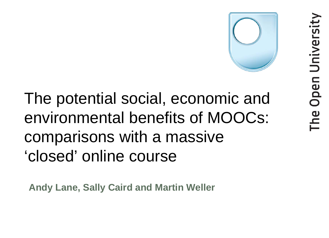

## The potential social, economic and environmental benefits of MOOCs: comparisons with a massive 'closed' online course

**Andy Lane, Sally Caird and Martin Weller**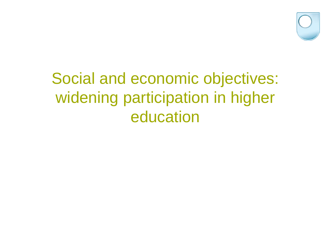

## Social and economic objectives: widening participation in higher education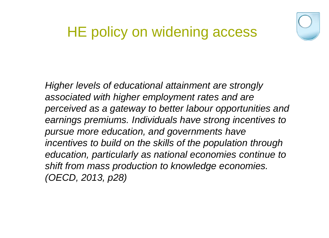

#### HE policy on widening access

*Higher levels of educational attainment are strongly associated with higher employment rates and are perceived as a gateway to better labour opportunities and earnings premiums. Individuals have strong incentives to pursue more education, and governments have incentives to build on the skills of the population through education, particularly as national economies continue to shift from mass production to knowledge economies. (OECD, 2013, p28)*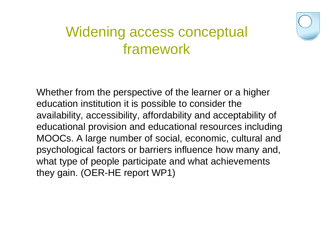

#### Widening access conceptual framework

Whether from the perspective of the learner or a higher education institution it is possible to consider the availability, accessibility, affordability and acceptability of educational provision and educational resources including MOOCs. A large number of social, economic, cultural and psychological factors or barriers influence how many and, what type of people participate and what achievements they gain. (OER-HE report WP1)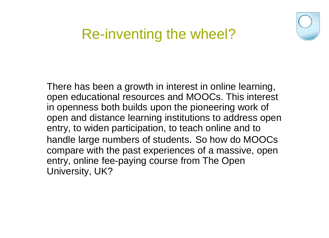

#### Re-inventing the wheel?

There has been a growth in interest in online learning, open educational resources and MOOCs. This interest in openness both builds upon the pioneering work of open and distance learning institutions to address open entry, to widen participation, to teach online and to handle large numbers of students. So how do MOOCs compare with the past experiences of a massive, open entry, online fee-paying course from The Open University, UK?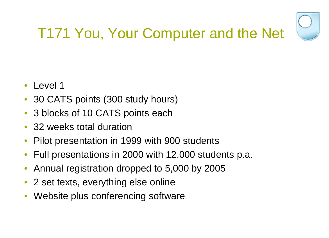

# T171 You, Your Computer and the Net

- Level 1
- 30 CATS points (300 study hours)
- 3 blocks of 10 CATS points each
- 32 weeks total duration
- Pilot presentation in 1999 with 900 students
- Full presentations in 2000 with 12,000 students p.a.
- Annual registration dropped to 5,000 by 2005
- 2 set texts, everything else online
- Website plus conferencing software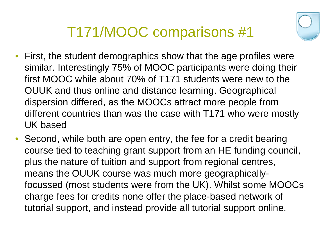

- First, the student demographics show that the age profiles were similar. Interestingly 75% of MOOC participants were doing their first MOOC while about 70% of T171 students were new to the OUUK and thus online and distance learning. Geographical dispersion differed, as the MOOCs attract more people from different countries than was the case with T171 who were mostly UK based
- Second, while both are open entry, the fee for a credit bearing course tied to teaching grant support from an HE funding council, plus the nature of tuition and support from regional centres, means the OUUK course was much more geographicallyfocussed (most students were from the UK). Whilst some MOOCs charge fees for credits none offer the place-based network of tutorial support, and instead provide all tutorial support online.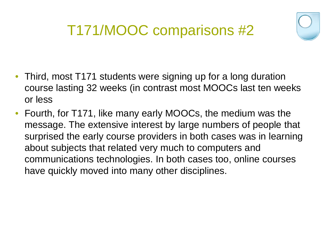

- Third, most T171 students were signing up for a long duration course lasting 32 weeks (in contrast most MOOCs last ten weeks or less
- Fourth, for T171, like many early MOOCs, the medium was the message. The extensive interest by large numbers of people that surprised the early course providers in both cases was in learning about subjects that related very much to computers and communications technologies. In both cases too, online courses have quickly moved into many other disciplines.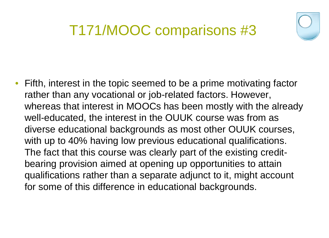

• Fifth, interest in the topic seemed to be a prime motivating factor rather than any vocational or job-related factors. However, whereas that interest in MOOCs has been mostly with the already well-educated, the interest in the OUUK course was from as diverse educational backgrounds as most other OUUK courses, with up to 40% having low previous educational qualifications. The fact that this course was clearly part of the existing creditbearing provision aimed at opening up opportunities to attain qualifications rather than a separate adjunct to it, might account for some of this difference in educational backgrounds.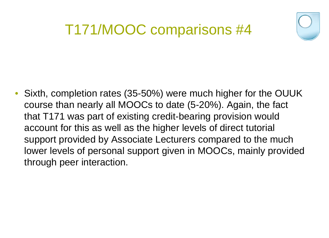

• Sixth, completion rates (35-50%) were much higher for the OUUK course than nearly all MOOCs to date (5-20%). Again, the fact that T171 was part of existing credit-bearing provision would account for this as well as the higher levels of direct tutorial support provided by Associate Lecturers compared to the much lower levels of personal support given in MOOCs, mainly provided through peer interaction.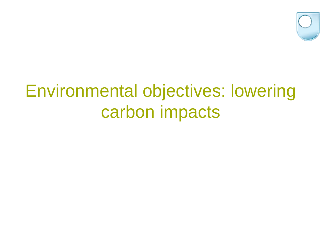

# Environmental objectives: lowering carbon impacts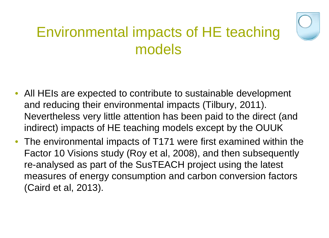

#### Environmental impacts of HE teaching models

- All HEIs are expected to contribute to sustainable development and reducing their environmental impacts (Tilbury, 2011). Nevertheless very little attention has been paid to the direct (and indirect) impacts of HE teaching models except by the OUUK
- The environmental impacts of T171 were first examined within the Factor 10 Visions study (Roy et al, 2008), and then subsequently re-analysed as part of the SusTEACH project using the latest measures of energy consumption and carbon conversion factors (Caird et al, 2013).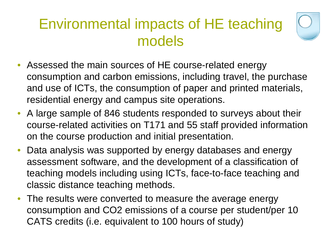#### Environmental impacts of HE teaching models



- Assessed the main sources of HE course-related energy consumption and carbon emissions, including travel, the purchase and use of ICTs, the consumption of paper and printed materials, residential energy and campus site operations.
- A large sample of 846 students responded to surveys about their course-related activities on T171 and 55 staff provided information on the course production and initial presentation.
- Data analysis was supported by energy databases and energy assessment software, and the development of a classification of teaching models including using ICTs, face-to-face teaching and classic distance teaching methods.
- The results were converted to measure the average energy consumption and CO2 emissions of a course per student/per 10 CATS credits (i.e. equivalent to 100 hours of study)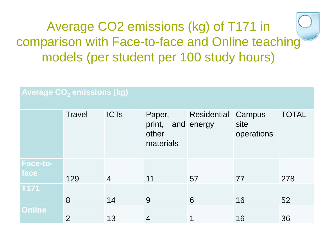#### Average CO2 emissions (kg) of T171 in comparison with Face-to-face and Online teaching models (per student per 100 study hours)

| <b>Average CO<sub>2</sub> emissions (kg)</b> |                |                |                                        |                           |                              |              |
|----------------------------------------------|----------------|----------------|----------------------------------------|---------------------------|------------------------------|--------------|
|                                              | <b>Travel</b>  | <b>ICTs</b>    | Paper,<br>print,<br>other<br>materials | Residential<br>and energy | Campus<br>site<br>operations | <b>TOTAL</b> |
| <b>Face-to-</b>                              |                |                |                                        |                           |                              |              |
| face                                         | 129            | $\overline{4}$ | 11                                     | 57                        | 77                           | 278          |
| <b>T171</b>                                  |                |                |                                        |                           |                              |              |
|                                              | 8              | 14             | 9                                      | 6                         | 16                           | 52           |
| <b>Online</b>                                | $\overline{2}$ | 13             | $\overline{4}$                         | 1                         | 16                           | 36           |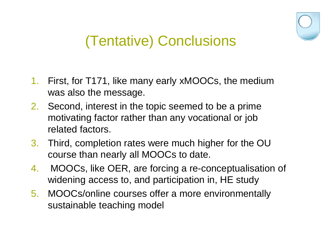

### (Tentative) Conclusions

- 1. First, for T171, like many early xMOOCs, the medium was also the message.
- 2. Second, interest in the topic seemed to be a prime motivating factor rather than any vocational or job related factors.
- 3. Third, completion rates were much higher for the OU course than nearly all MOOCs to date.
- 4. MOOCs, like OER, are forcing a re-conceptualisation of widening access to, and participation in, HE study
- 5. MOOCs/online courses offer a more environmentally sustainable teaching model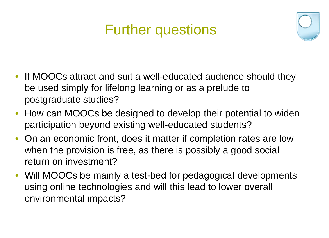#### Further questions



- If MOOCs attract and suit a well-educated audience should they be used simply for lifelong learning or as a prelude to postgraduate studies?
- How can MOOCs be designed to develop their potential to widen participation beyond existing well-educated students?
- On an economic front, does it matter if completion rates are low when the provision is free, as there is possibly a good social return on investment?
- Will MOOCs be mainly a test-bed for pedagogical developments using online technologies and will this lead to lower overall environmental impacts?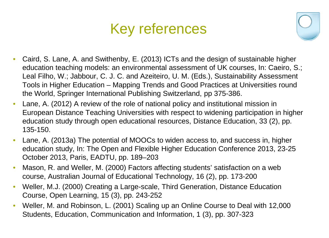#### Key references



- Caird, S. Lane, A. and Swithenby, E. (2013) ICTs and the design of sustainable higher education teaching models: an environmental assessment of UK courses, In: Caeiro, S.; Leal Filho, W.; Jabbour, C. J. C. and Azeiteiro, U. M. (Eds.), Sustainability Assessment Tools in Higher Education – Mapping Trends and Good Practices at Universities round the World, Springer International Publishing Switzerland, pp 375-386.
- Lane, A. (2012) A review of the role of national policy and institutional mission in European Distance Teaching Universities with respect to widening participation in higher education study through open educational resources, Distance Education, 33 (2), pp. 135-150.
- Lane, A. (2013a) The potential of MOOCs to widen access to, and success in, higher education study, In: The Open and Flexible Higher Education Conference 2013, 23-25 October 2013, Paris, EADTU, pp. 189–203
- Mason, R. and Weller, M. (2000) Factors affecting students' satisfaction on a web course, Australian Journal of Educational Technology, 16 (2), pp. 173-200
- Weller, M.J. (2000) Creating a Large-scale, Third Generation, Distance Education Course, Open Learning, 15 (3), pp. 243-252
- Weller, M. and Robinson, L. (2001) Scaling up an Online Course to Deal with 12,000 Students, Education, Communication and Information, 1 (3), pp. 307-323